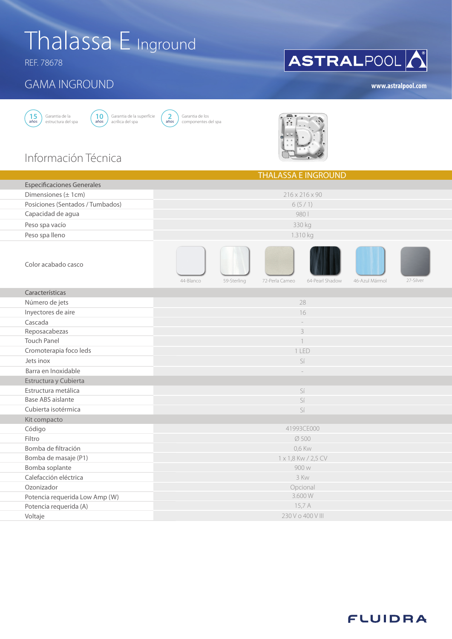# Thalassa E Inground

REF. 78678

### GAMA INGROUND





Garantia de los componentes del spa **2** años



THE ACCA E INGROUND

### Información Técnica

|                                   | <u>I FIALAJJA E INUNUUNU</u>                                                    |           |  |  |  |  |  |  |  |
|-----------------------------------|---------------------------------------------------------------------------------|-----------|--|--|--|--|--|--|--|
| <b>Especificaciones Generales</b> |                                                                                 |           |  |  |  |  |  |  |  |
| Dimensiones $(\pm 1cm)$           | $216 \times 216 \times 90$                                                      |           |  |  |  |  |  |  |  |
| Posiciones (Sentados / Tumbados)  | 6(5/1)                                                                          |           |  |  |  |  |  |  |  |
| Capacidad de agua                 | 980                                                                             |           |  |  |  |  |  |  |  |
| Peso spa vacío                    | 330 kg                                                                          |           |  |  |  |  |  |  |  |
| Peso spa lleno                    | 1.310 kg                                                                        |           |  |  |  |  |  |  |  |
| Color acabado casco               | 44-Blanco<br>72-Perla Cameo<br>59-Sterling<br>64-Pearl Shadow<br>46-Azul Mármol | 27-Silver |  |  |  |  |  |  |  |
| Características                   |                                                                                 |           |  |  |  |  |  |  |  |
| Número de jets                    | 28                                                                              |           |  |  |  |  |  |  |  |
| Inyectores de aire                | 16                                                                              |           |  |  |  |  |  |  |  |
| Cascada                           |                                                                                 |           |  |  |  |  |  |  |  |
| Reposacabezas                     | 3                                                                               |           |  |  |  |  |  |  |  |
| <b>Touch Panel</b>                |                                                                                 |           |  |  |  |  |  |  |  |
| Cromoterapia foco leds            | 1 LED                                                                           |           |  |  |  |  |  |  |  |
| Jets inox                         | Sí                                                                              |           |  |  |  |  |  |  |  |
| Barra en Inoxidable               |                                                                                 |           |  |  |  |  |  |  |  |
| Estructura y Cubierta             |                                                                                 |           |  |  |  |  |  |  |  |
| Estructura metálica               | Sí                                                                              |           |  |  |  |  |  |  |  |
| <b>Base ABS aislante</b>          | Sí                                                                              |           |  |  |  |  |  |  |  |
| Cubierta isotérmica               | Sí                                                                              |           |  |  |  |  |  |  |  |
| Kit compacto                      |                                                                                 |           |  |  |  |  |  |  |  |
| Código                            | 41993CE000                                                                      |           |  |  |  |  |  |  |  |
| Filtro                            | Ø 500                                                                           |           |  |  |  |  |  |  |  |
| Bomba de filtración               | 0,6 Kw                                                                          |           |  |  |  |  |  |  |  |
| Bomba de masaje (P1)              | 1 x 1,8 Kw / 2,5 CV                                                             |           |  |  |  |  |  |  |  |
| Bomba soplante                    | 900 w                                                                           |           |  |  |  |  |  |  |  |
| Calefacción eléctrica             | 3 Kw                                                                            |           |  |  |  |  |  |  |  |
| Ozonizador                        | Opcional                                                                        |           |  |  |  |  |  |  |  |
| Potencia requerida Low Amp (W)    | 3.600W                                                                          |           |  |  |  |  |  |  |  |
| Potencia requerida (A)            | 15,7 A                                                                          |           |  |  |  |  |  |  |  |
| Voltaje                           | 230 V o 400 V III                                                               |           |  |  |  |  |  |  |  |

# ASTRALPOOL

**www.astralpool.com**

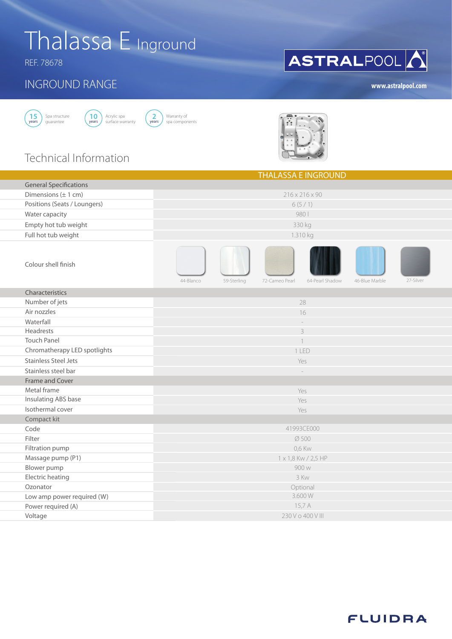# Thalassa E Inground

REF. 78678

#### INGROUND RANGE





Warranty of spa components **2** years



## Technical Information

|                                 | <b>THALASSA E INGROUND</b> |             |                |                 |                |           |  |  |  |
|---------------------------------|----------------------------|-------------|----------------|-----------------|----------------|-----------|--|--|--|
| <b>General Specifications</b>   |                            |             |                |                 |                |           |  |  |  |
| Dimensions $(\pm 1 \text{ cm})$ | 216 x 216 x 90             |             |                |                 |                |           |  |  |  |
| Positions (Seats / Loungers)    |                            |             |                | 6(5/1)          |                |           |  |  |  |
| Water capacity                  |                            |             |                | 980             |                |           |  |  |  |
| Empty hot tub weight            | 330 kg                     |             |                |                 |                |           |  |  |  |
| Full hot tub weight             | 1.310 kg                   |             |                |                 |                |           |  |  |  |
| Colour shell finish             | 44-Blanco                  | 59-Sterling | 72-Cameo Pearl | 64-Pearl Shadow | 46-Blue Marble | 27-Silver |  |  |  |
| Characteristics                 |                            |             |                |                 |                |           |  |  |  |
| Number of jets                  | 28                         |             |                |                 |                |           |  |  |  |
| Air nozzles                     | 16                         |             |                |                 |                |           |  |  |  |
| Waterfall                       | $\frac{1}{2}$              |             |                |                 |                |           |  |  |  |
| Headrests                       | 3                          |             |                |                 |                |           |  |  |  |
| <b>Touch Panel</b>              |                            |             |                |                 |                |           |  |  |  |
| Chromatherapy LED spotlights    | 1 LED                      |             |                |                 |                |           |  |  |  |
| <b>Stainless Steel Jets</b>     | Yes                        |             |                |                 |                |           |  |  |  |
| Stainless steel bar             |                            |             |                |                 |                |           |  |  |  |
| Frame and Cover                 |                            |             |                |                 |                |           |  |  |  |
| Metal frame                     | Yes                        |             |                |                 |                |           |  |  |  |
| Insulating ABS base             | Yes                        |             |                |                 |                |           |  |  |  |
| Isothermal cover                | Yes                        |             |                |                 |                |           |  |  |  |
| Compact kit                     |                            |             |                |                 |                |           |  |  |  |
| Code                            | 41993CE000                 |             |                |                 |                |           |  |  |  |
| Filter                          | Ø 500                      |             |                |                 |                |           |  |  |  |
| Filtration pump                 | 0,6 Kw                     |             |                |                 |                |           |  |  |  |
| Massage pump (P1)               | 1 x 1,8 Kw / 2,5 HP        |             |                |                 |                |           |  |  |  |
| Blower pump                     | 900 w                      |             |                |                 |                |           |  |  |  |
| Electric heating                | 3 Kw                       |             |                |                 |                |           |  |  |  |
| Ozonator                        | Optional                   |             |                |                 |                |           |  |  |  |
| Low amp power required (W)      | 3.600W                     |             |                |                 |                |           |  |  |  |
| Power required (A)              | 15,7 A                     |             |                |                 |                |           |  |  |  |
| Voltage                         | 230 V o 400 V III          |             |                |                 |                |           |  |  |  |

### **www.astralpool.com**

**ASTRAL**POOL